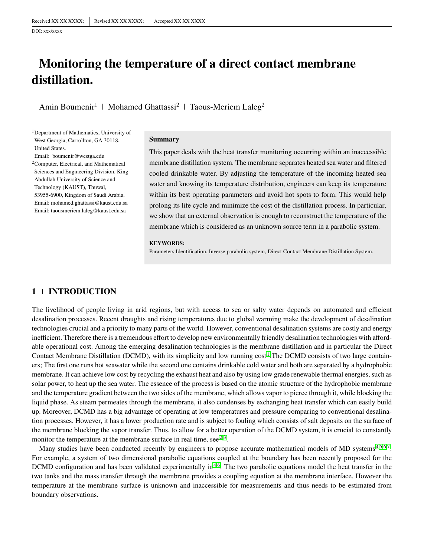DOI: xxx/xxxx

# **Monitoring the temperature of a direct contact membrane distillation.**

Amin Boumenir<sup>1</sup> | Mohamed Ghattassi<sup>2</sup> | Taous-Meriem Laleg<sup>2</sup>

<sup>1</sup>Department of Mathematics, University of West Georgia, Carrollton, GA 30118, United States. Email: boumenir@westga.edu

<sup>2</sup>Computer, Electrical, and Mathematical Sciences and Engineering Division, King Abdullah University of Science and Technology (KAUST), Thuwal, 53955-6900, Kingdom of Saudi Arabia. Email: mohamed.ghattassi@kaust.edu.sa Email: taousmeriem.laleg@kaust.edu.sa

#### **Summary**

This paper deals with the heat transfer monitoring occurring within an inaccessible membrane distillation system. The membrane separates heated sea water and filtered cooled drinkable water. By adjusting the temperature of the incoming heated sea water and knowing its temperature distribution, engineers can keep its temperature within its best operating parameters and avoid hot spots to form. This would help prolong its life cycle and minimize the cost of the distillation process. In particular, we show that an external observation is enough to reconstruct the temperature of the membrane which is considered as an unknown source term in a parabolic system.

#### **KEYWORDS:**

Parameters Identification, Inverse parabolic system, Direct Contact Membrane Distillation System.

## **1 INTRODUCTION**

The livelihood of people living in arid regions, but with access to sea or salty water depends on automated and efficient desalination processes. Recent droughts and rising temperatures due to global warming make the development of desalination technologies crucial and a priority to many parts of the world. However, conventional desalination systems are costly and energy inefficient. Therefore there is a tremendous effort to develop new environmentally friendly desalination technologies with affordable operational cost. Among the emerging desalination technologies is the membrane distillation and in particular the Direct Contact Membrane Distillation (DCMD), with its simplicity and low running cost<sup>[1](#page-8-0)</sup>. The DCMD consists of two large containers; The first one runs hot seawater while the second one contains drinkable cold water and both are separated by a hydrophobic membrane. It can achieve low cost by recycling the exhaust heat and also by using low grade renewable thermal energies, such as solar power, to heat up the sea water. The essence of the process is based on the atomic structure of the hydrophobic membrane and the temperature gradient between the two sides of the membrane, which allows vapor to pierce through it, while blocking the liquid phase. As steam permeates through the membrane, it also condenses by exchanging heat transfer which can easily build up. Moreover, DCMD has a big advantage of operating at low temperatures and pressure comparing to conventional desalination processes. However, it has a lower production rate and is subject to fouling which consists of salt deposits on the surface of the membrane blocking the vapor transfer. Thus, to allow for a better operation of the DCMD system, it is crucial to constantly monitor the temperature at the membrane surface in real time, see  $2.3$  $2.3$ .

Many studies have been conducted recently by engineers to propose accurate mathematical models of MD systems<sup>[4](#page-8-3)[,5,](#page-8-4)[6](#page-8-5)[,7](#page-8-6)</sup>. For example, a system of two dimensional parabolic equations coupled at the boundary has been recently proposed for the DCMD configuration and has been validated experimentally in<sup>[4](#page-8-3)[,6](#page-8-5)</sup>. The two parabolic equations model the heat transfer in the two tanks and the mass transfer through the membrane provides a coupling equation at the membrane interface. However the temperature at the membrane surface is unknown and inaccessible for measurements and thus needs to be estimated from boundary observations.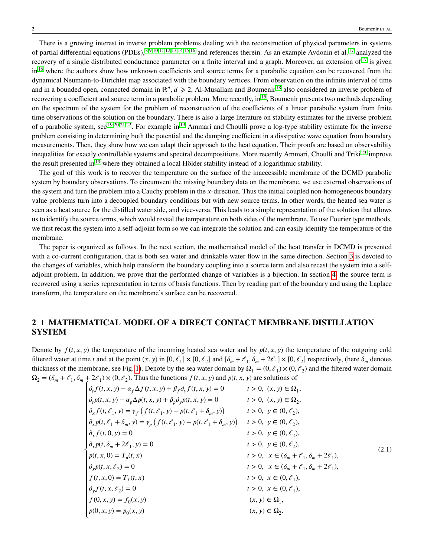There is a growing interest in inverse problem problems dealing with the reconstruction of physical parameters in systems of partial differential equations (PDEs), [8,](#page-8-7)[9,](#page-8-8)[10,](#page-9-0)[11,](#page-9-1)[12](#page-9-2)[,13,](#page-9-3)[14,](#page-9-4)[15,](#page-9-5)[16](#page-9-6) and references therein. As an example Avdonin et al. [17](#page-9-7) analyzed the recovery of a single distributed conductance parameter on a finite interval and a graph. Moreover, an extension of  $17$  is given in<sup>[16](#page-9-6)</sup> where the authors show how unknown coefficients and source terms for a parabolic equation can be recovered from the dynamical Neumann-to-Dirichlet map associated with the boundary vertices. From observation on the infinite interval of time and in a bounded open, connected domain in ℝ<sup>d</sup>, d ≥ 2, Al-Musallam and Boumenir <sup>[18](#page-9-8)</sup> also considered an inverse problem of recovering a coefficient and source term in a parabolic problem. More recently, in<sup>[15](#page-9-5)</sup>, Boumenir presents two methods depending on the spectrum of the system for the problem of reconstruction of the coefficients of a linear parabolic system from finite time observations of the solution on the boundary. There is also a large literature on stability estimates for the inverse problem of a parabolic system, see  $19,20,21,22$  $19,20,21,22$  $19,20,21,22$  $19,20,21,22$ . For example in  $19$  Ammari and Choulli prove a log-type stability estimate for the inverse problem consisting in determining both the potential and the damping coefficient in a dissipative wave equation from boundary measurements. Then, they show how we can adapt their approach to the heat equation. Their proofs are based on observability inequalities for exactly controllable systems and spectral decompositions. More recently Ammari, Choulli and Triki<sup>[23](#page-9-13)</sup> improve the result presented in<sup>[19](#page-9-9)</sup> where they obtained a local Hölder stability instead of a logarithmic stability.

The goal of this work is to recover the temperature on the surface of the inaccessible membrane of the DCMD parabolic system by boundary observations. To circumvent the missing boundary data on the membrane, we use external observations of the system and turn the problem into a Cauchy problem in the *x*-direction. Thus the initial coupled non-homogeneous boundary value problems turn into a decoupled boundary conditions but with new source terms. In other words, the heated sea water is seen as a heat source for the distilled water side, and vice-versa. This leads to a simple representation of the solution that allows us to identify the source terms, which would reveal the temperature on both sides of the membrane. To use Fourier type methods, we first recast the system into a self-adjoint form so we can integrate the solution and can easily identify the temperature of the membrane.

The paper is organized as follows. In the next section, the mathematical model of the heat transfer in DCMD is presented with a co-current configuration, that is both sea water and drinkable water flow in the same direction. Section [3](#page-2-0) is devoted to the changes of variables, which help transform the boundary coupling into a source term and also recast the system into a selfadjoint problem. In addition, we prove that the performed change of variables is a bijection. In section [4,](#page-5-0) the source term is recovered using a series representation in terms of basis functions. Then by reading part of the boundary and using the Laplace transform, the temperature on the membrane's surface can be recovered.

## **2 MATHEMATICAL MODEL OF A DIRECT CONTACT MEMBRANE DISTILLATION SYSTEM**

<span id="page-1-0"></span>Denote by  $f(t, x, y)$  the temperature of the incoming heated sea water and by  $p(t, x, y)$  the temperature of the outgoing cold filtered water at time *t* and at the point  $(x, y)$  in  $[0, \ell_1] \times [0, \ell_2]$  and  $[\delta_m + \ell_1, \delta_m + 2\ell_1] \times [0, \ell_2]$  respectively, (here  $\delta_m$  denotes thickness of the membrane, see Fig. [1\)](#page-2-1). Denote by the sea water domain by  $\Omega_1 = (0, \ell_1) \times (0, \ell_2)$  and the filtered water domain  $\Omega_2 = (\delta_m + \ell_1, \delta_m + 2\ell_1) \times (0, \ell_2)$ . Thus the functions  $f(t, x, y)$  and  $p(t, x, y)$  are solutions of

$$
\partial_{t}f(t, x, y) - \alpha_{f} \Delta f(t, x, y) + \beta_{f} \partial_{y}f(t, x, y) = 0 \t t > 0, (x, y) \in \Omega_{1},
$$
\n
$$
\partial_{t}p(t, x, y) - \alpha_{p} \Delta p(t, x, y) + \beta_{p} \partial_{y}p(t, x, y) = 0 \t t > 0, (x, y) \in \Omega_{2},
$$
\n
$$
\partial_{x}f(t, \ell_{1}, y) = \gamma_{f}(f(t, \ell_{1}, y) - p(t, \ell_{1} + \delta_{m}, y)) \t t > 0, y \in (0, \ell_{2}),
$$
\n
$$
\partial_{x}p(t, \ell_{1} + \delta_{m}, y) = \gamma_{p}(f(t, \ell_{1}, y) - p(t, \ell_{1} + \delta_{m}, y)) \t t > 0, y \in (0, \ell_{2}),
$$
\n
$$
\partial_{x}f(t, 0, y) = 0 \t t > 0, y \in (0, \ell_{2}),
$$
\n
$$
\partial_{x}p(t, \delta_{m} + 2\ell_{1}, y) = 0 \t t > 0, y \in (0, \ell_{2}),
$$
\n
$$
p(t, x, 0) = T_{p}(t, x) \t t > 0, x \in (\delta_{m} + \ell_{1}, \delta_{m} + 2\ell_{1}),
$$
\n
$$
\partial_{y}p(t, x, \ell_{2}) = 0 \t t > 0, x \in (0, \ell_{1}),
$$
\n
$$
\partial_{y}f(t, x, \ell_{2}) = 0 \t t > 0, x \in (0, \ell_{1}),
$$
\n
$$
f(0, x, y) = f_{0}(x, y) \t (x, y) \in \Omega_{1},
$$
\n
$$
p(0, x, y) = p_{0}(x, y) \t (x, y) \in \Omega_{2}.
$$
\n(2.1)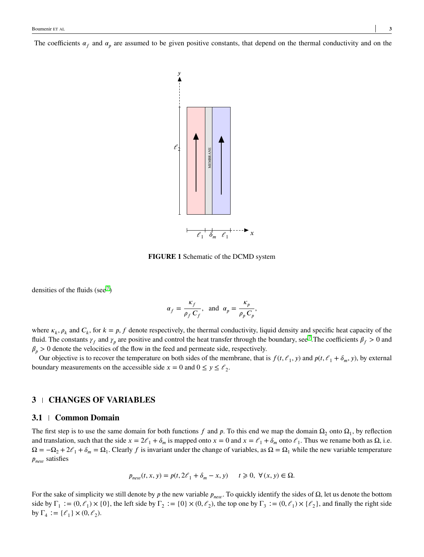<span id="page-2-1"></span>The coefficients  $\alpha_f$  and  $\alpha_p$  are assumed to be given positive constants, that depend on the thermal conductivity and on the



**FIGURE 1** Schematic of the DCMD system

densities of the fluids (see<sup>[7](#page-8-6)</sup>)

$$
\alpha_f = \frac{\kappa_f}{\rho_f C_f}
$$
, and  $\alpha_p = \frac{\kappa_p}{\rho_p C_p}$ ,

where  $\kappa_k$ ,  $\rho_k$  and  $C_k$ , for  $k = p$ , f denote respectively, the thermal conductivity, liquid density and specific heat capacity of the fluid. The constants  $\gamma_f$  and  $\gamma_p$  are positive and control the heat transfer through the boundary, see<sup>[7](#page-8-6)</sup>. The coefficients  $\beta_f > 0$  and  $\beta_p > 0$  denote the velocities of the flow in the feed and permeate side, respectively.

Our objective is to recover the temperature on both sides of the membrane, that is  $f(t, \ell_1, y)$  and  $p(t, \ell_1 + \delta_m, y)$ , by external boundary measurements on the accessible side  $x = 0$  and  $0 \le y \le \ell_2$ .

## <span id="page-2-0"></span>**3 CHANGES OF VARIABLES**

#### **3.1 Common Domain**

The first step is to use the same domain for both functions  $f$  and  $p$ . To this end we map the domain  $\Omega_2$  onto  $\Omega_1$ , by reflection and translation, such that the side  $x = 2\ell_1 + \delta_m$  is mapped onto  $x = 0$  and  $x = \ell_1 + \delta_m$  onto  $\ell_1$ . Thus we rename both as  $\Omega$ , i.e.  $\Omega = -\Omega_2 + 2\ell_1 + \delta_m = \Omega_1$ . Clearly *f* is invariant under the change of variables, as  $\Omega = \Omega_1$  while the new variable temperature  $p_{\text{new}}$  satisfies

$$
p_{new}(t, x, y) = p(t, 2\mathcal{E}_1 + \delta_m - x, y) \quad t \ge 0, \ \forall (x, y) \in \Omega.
$$

For the sake of simplicity we still denote by *p* the new variable  $p_{new}$ . To quickly identify the sides of  $\Omega$ , let us denote the bottom side by  $\Gamma_1 := (0, \ell_1) \times \{0\}$ , the left side by  $\Gamma_2 := \{0\} \times (0, \ell_2)$ , the top one by  $\Gamma_3 := (0, \ell_1) \times \{\ell_2\}$ , and finally the right side by  $\Gamma_4 := {\ell_1} \times (0, \ell_2)$ .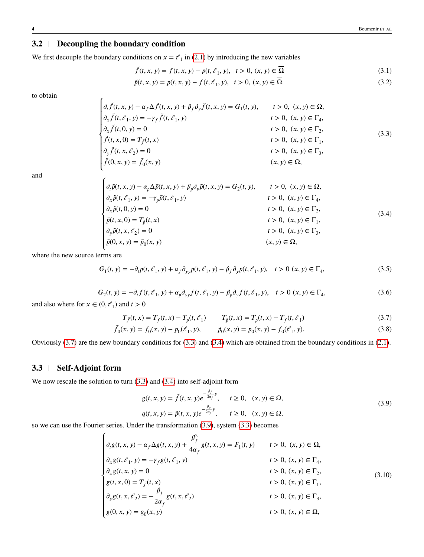## <span id="page-3-5"></span>**3.2 Decoupling the boundary condition**

We first decouple the boundary conditions on  $x = \ell_1$  in [\(2.1\)](#page-1-0) by introducing the new variables

$$
\tilde{f}(t, x, y) = f(t, x, y) - p(t, \ell_1, y), \quad t > 0, (x, y) \in \overline{\Omega}
$$
\n(3.1)

$$
\tilde{p}(t, x, y) = p(t, x, y) - f(t, \ell_1, y), \quad t > 0, (x, y) \in \overline{\Omega}.
$$
\n(3.2)

<span id="page-3-1"></span>to obtain

$$
\begin{cases}\n\partial_t \tilde{f}(t, x, y) - \alpha_f \Delta \tilde{f}(t, x, y) + \beta_f \partial_y \tilde{f}(t, x, y) = G_1(t, y), & t > 0, (x, y) \in \Omega, \\
\partial_x \tilde{f}(t, \ell_1, y) = -\gamma_f \tilde{f}(t, \ell_1, y) & t > 0, (x, y) \in \Gamma_4, \\
\partial_x \tilde{f}(t, 0, y) = 0 & t > 0, (x, y) \in \Gamma_2, \\
\tilde{f}(t, x, 0) = T_{\tilde{f}}(t, x) & t > 0, (x, y) \in \Gamma_1, \\
\partial_y \tilde{f}(t, x, \ell_2) = 0 & t > 0, (x, y) \in \Gamma_3, \\
\tilde{f}(0, x, y) = \tilde{f}_0(x, y)\n\end{cases} (3.3)
$$

<span id="page-3-2"></span>and

$$
\begin{cases}\n\partial_t \tilde{p}(t, x, y) - \alpha_p \Delta \tilde{p}(t, x, y) + \beta_p \partial_y \tilde{p}(t, x, y) = G_2(t, y), & t > 0, (x, y) \in \Omega, \\
\partial_x \tilde{p}(t, \ell_1, y) = -\gamma_p \tilde{p}(t, \ell_1, y) & t > 0, (x, y) \in \Gamma_4, \\
\partial_x \tilde{p}(t, 0, y) = 0 & t > 0, (x, y) \in \Gamma_2, \\
\tilde{p}(t, x, 0) = T_{\tilde{p}}(t, x) & t > 0, (x, y) \in \Gamma_1, \\
\partial_y \tilde{p}(t, x, \ell_2) = 0 & t > 0, (x, y) \in \Gamma_3, \\
\tilde{p}(0, x, y) = \tilde{p}_0(x, y)\n\end{cases}
$$
\n(3.4)

<span id="page-3-0"></span>where the new source terms are

<span id="page-3-4"></span>
$$
G_1(t, y) = -\partial_t p(t, \ell_1, y) + \alpha_f \partial_{yy} p(t, \ell_1, y) - \beta_f \partial_y p(t, \ell_1, y), \quad t > 0 \ (x, y) \in \Gamma_4,\tag{3.5}
$$

$$
G_2(t, y) = -\partial_t f(t, \ell_1, y) + \alpha_p \partial_{yy} f(t, \ell_1, y) - \beta_p \partial_y f(t, \ell_1, y), \quad t > 0 \ (x, y) \in \Gamma_4,\tag{3.6}
$$

and also where for  $x \in (0, \ell_1)$  and  $t > 0$ 

$$
T_{\tilde{f}}(t, x) = T_f(t, x) - T_p(t, \ell_1) \qquad T_{\tilde{p}}(t, x) = T_p(t, x) - T_f(t, \ell_1)
$$
\n(3.7)

$$
\tilde{f}_0(x, y) = f_0(x, y) - p_0(\mathcal{C}_1, y), \qquad \tilde{p}_0(x, y) = p_0(x, y) - f_0(\mathcal{C}_1, y). \tag{3.8}
$$

Obviously [\(3.7\)](#page-3-0) are the new boundary conditions for [\(3.3\)](#page-3-1) and [\(3.4\)](#page-3-2) which are obtained from the boundary conditions in [\(2.1\)](#page-1-0).

## **3.3 Self-Adjoint form**

We now rescale the solution to turn  $(3.3)$  and  $(3.4)$  into self-adjoint form

<span id="page-3-6"></span><span id="page-3-3"></span>
$$
g(t, x, y) = \tilde{f}(t, x, y)e^{-\frac{\beta_f}{2\alpha_f}y}, \quad t \ge 0, \quad (x, y) \in \Omega, q(t, x, y) = \tilde{p}(t, x, y)e^{-\frac{\beta_p}{2\alpha_p}y}, \quad t \ge 0, \quad (x, y) \in \Omega,
$$
 (3.9)

so we can use the Fourier series. Under the transformation [\(3.9\)](#page-3-3), system [\(3.3\)](#page-3-1) becomes

$$
\begin{cases}\n\partial_t g(t, x, y) - \alpha_f \Delta g(t, x, y) + \frac{\beta_f^2}{4\alpha_f} g(t, x, y) = F_1(t, y) & t > 0, (x, y) \in \Omega, \\
\partial_x g(t, \ell_1, y) = -\gamma_f g(t, \ell_1, y) & t > 0, (x, y) \in \Gamma_4, \\
\partial_x g(t, x, y) = 0 & t > 0, (x, y) \in \Gamma_2, \\
g(t, x, 0) = T_f(t, x) & t > 0, (x, y) \in \Gamma_1, \\
\partial_y g(t, x, \ell_2) = -\frac{\beta_f}{2\alpha_f} g(t, x, \ell_2) & t > 0, (x, y) \in \Gamma_3, \\
g(0, x, y) = g_0(x, y) & t > 0, (x, y) \in \Omega,\n\end{cases}
$$
\n(3.10)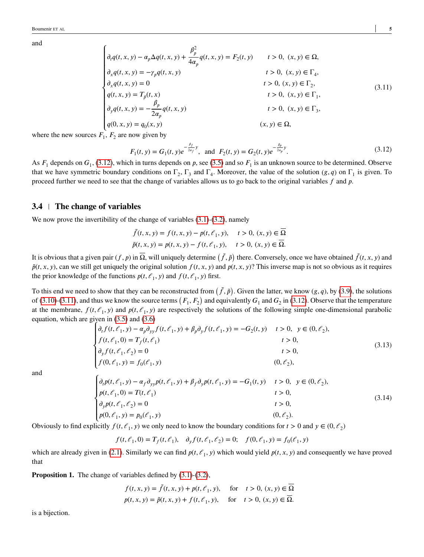<span id="page-4-1"></span>
$$
\begin{cases}\n\partial_t q(t, x, y) - \alpha_p \Delta q(t, x, y) + \frac{\beta_p^2}{4\alpha_p} q(t, x, y) = F_2(t, y) & t > 0, (x, y) \in \Omega, \\
\partial_x q(t, x, y) = -\gamma_p q(t, x, y) & t > 0, (x, y) \in \Gamma_4, \\
\partial_x q(t, x, y) = 0 & t > 0, (x, y) \in \Gamma_2, \\
q(t, x, y) = T_{\tilde{p}}(t, x) & t > 0, (x, y) \in \Gamma_1, \\
\partial_y q(t, x, y) = -\frac{\beta_p}{2\alpha_p} q(t, x, y) & t > 0, (x, y) \in \Gamma_3, \\
q(0, x, y) = q_0(x, y) & (x, y) \in \Omega,\n\end{cases}
$$
\n(3.11)

where the new sources  $F_1$ ,  $F_2$  are now given by

<span id="page-4-0"></span>
$$
F_1(t, y) = G_1(t, y)e^{-\frac{\beta_f}{2\alpha_f}y}, \text{ and } F_2(t, y) = G_2(t, y)e^{-\frac{\beta_p}{2\alpha_p}y}.
$$
 (3.12)

As  $F_1$  depends on  $G_1$ , [\(3.12\)](#page-4-0), which in turns depends on *p*, see [\(3.5\)](#page-3-4) and so  $F_1$  is an unknown source to be determined. Observe that we have symmetric boundary conditions on  $\Gamma_2$ ,  $\Gamma_3$  and  $\Gamma_4$ . Moreover, the value of the solution  $(g, q)$  on  $\Gamma_1$  is given. To proceed further we need to see that the change of variables allows us to go back to the original variables *f* and *p*.

#### **3.4 The change of variables**

We now prove the invertibility of the change of variables  $(3.1)-(3.2)$  $(3.1)-(3.2)$  $(3.1)-(3.2)$ , namely

$$
\tilde{f}(t, x, y) = f(t, x, y) - p(t, \ell_1, y), \quad t > 0, (x, y) \in \overline{\Omega} \n\tilde{p}(t, x, y) = p(t, x, y) - f(t, \ell_1, y), \quad t > 0, (x, y) \in \overline{\Omega}.
$$

It is obvious that a given pair  $(f, p)$  in  $\overline{\Omega}$ , will uniquely determine  $(\tilde{f}, \tilde{p})$  there. Conversely, once we have obtained  $\tilde{f}(t, x, y)$  and  $\tilde{p}(t, x, y)$ , can we still get uniquely the original solution  $f(t, x, y)$  and  $p(t, x, y)$ ? This inverse map is not so obvious as it requires the prior knowledge of the functions  $p(t, \ell_1, y)$  and  $f(t, \ell_1, y)$  first.

To this end we need to show that they can be reconstructed from  $(\tilde{f}, \tilde{p})$ . Given the latter, we know  $(g, q)$ , by [\(3.9\)](#page-3-3), the solutions of [\(3.10\)](#page-3-6)-[\(3.11\)](#page-4-1), and thus we know the source terms  $(F_1, F_2)$  and equivalently  $G_1$  and  $G_2$  in [\(3.12\)](#page-4-0). Observe that the temperature at the membrane,  $f(t, \ell_1, y)$  and  $p(t, \ell_1, y)$  are respectively the solutions of the following simple one-dimensional parabolic equation, which are given in [\(3.5\)](#page-3-4) and [\(3.6\)](#page-3-0)

$$
\begin{cases}\n\partial_t f(t, \ell_1, y) - \alpha_p \partial_{yy} f(t, \ell_1, y) + \beta_p \partial_y f(t, \ell_1, y) = -G_2(t, y) & t > 0, \ y \in (0, \ell_2), \\
f(t, \ell_1, 0) = T_f(t, \ell_1) & t > 0, \\
\partial_y f(t, \ell_1, \ell_2) = 0 & t > 0, \\
f(0, \ell_1, y) = f_0(\ell_1, y) & (0, \ell_2),\n\end{cases}
$$
\n(3.13)

<span id="page-4-2"></span>and

$$
\begin{cases}\n\partial_t p(t, \ell_1, y) - \alpha_f \partial_{yy} p(t, \ell_1, y) + \beta_f \partial_y p(t, \ell_1, y) = -G_1(t, y) & t > 0, \ y \in (0, \ell_2), \\
p(t, \ell_1, 0) = T(t, \ell_1) & t > 0, \\
\partial_y p(t, \ell_1, \ell_2) = 0 & t > 0, \\
p(0, \ell_1, y) = p_0(\ell_1, y) & (0, \ell_2).\n\end{cases} \tag{3.14}
$$

Obviously to find explicitly  $f(t, \ell_1, y)$  we only need to know the boundary conditions for  $t > 0$  and  $y \in (0, \ell_2)$ 

$$
f(t, \ell_1, 0) = T_f(t, \ell_1), \quad \partial_y f(t, \ell_1, \ell_2) = 0; \quad f(0, \ell_1, y) = f_0(\ell_1, y)
$$

which are already given in [\(2.1\)](#page-1-0). Similarly we can find  $p(t, \ell_1, y)$  which would yield  $p(t, x, y)$  and consequently we have proved that

**Proposition 1.** The change of variables defined by  $(3.1)-(3.2)$  $(3.1)-(3.2)$  $(3.1)-(3.2)$ ,

$$
f(t, x, y) = \tilde{f}(t, x, y) + p(t, \ell_1, y), \quad \text{for} \quad t > 0, (x, y) \in \overline{\Omega}
$$
  

$$
p(t, x, y) = \tilde{p}(t, x, y) + f(t, \ell_1, y), \quad \text{for} \quad t > 0, (x, y) \in \overline{\Omega}.
$$

is a bijection.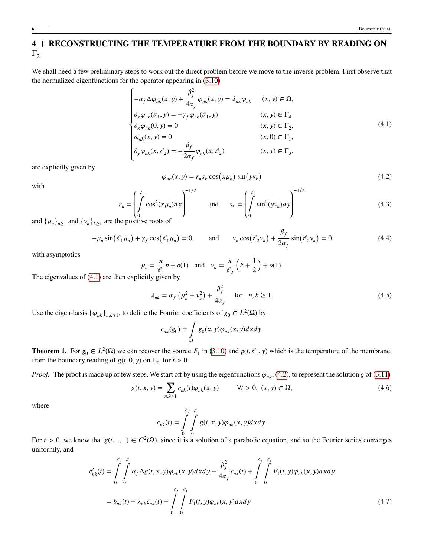# <span id="page-5-0"></span>**4 RECONSTRUCTING THE TEMPERATURE FROM THE BOUNDARY BY READING ON**  $\Gamma_2$

We shall need a few preliminary steps to work out the direct problem before we move to the inverse problem. First observe that the normalized eigenfunctions for the operator appearing in [\(3.10\)](#page-3-6)

<span id="page-5-1"></span>
$$
\begin{cases}\n-\alpha_f \Delta \varphi_{nk}(x, y) + \frac{\beta_f^2}{4\alpha_f} \varphi_{nk}(x, y) = \lambda_{nk} \varphi_{nk} & (x, y) \in \Omega, \\
\partial_x \varphi_{nk}(\ell_1, y) = -\gamma_f \varphi_{nk}(\ell_1, y) & (x, y) \in \Gamma_4 \\
\partial_x \varphi_{nk}(0, y) = 0 & (x, y) \in \Gamma_2, \\
\varphi_{nk}(x, y) = 0 & (x, 0) \in \Gamma_1, \\
\partial_y \varphi_{nk}(x, \ell_2) = -\frac{\beta_f}{2\alpha_f} \varphi_{nk}(x, \ell_2) & (x, y) \in \Gamma_3.\n\end{cases}
$$
\n(4.1)

are explicitly given by

$$
\varphi_{nk}(x, y) = r_n s_k \cos\left(x \mu_n\right) \sin\left(y v_k\right) \tag{4.2}
$$

with

<span id="page-5-2"></span>
$$
r_n = \left(\int_0^{\ell_1} \cos^2(x\mu_n)dx\right)^{-1/2} \quad \text{and} \quad s_k = \left(\int_0^{\ell_2} \sin^2(yv_k)dy\right)^{-1/2} \tag{4.3}
$$

and  $\{\mu_n\}_{n\geq 1}$  and  $\{\nu_k\}_{k\geq 1}$  are the positive roots of

$$
-\mu_n \sin(\ell_1 \mu_n) + \gamma_f \cos(\ell_1 \mu_n) = 0, \quad \text{and} \quad \nu_k \cos(\ell_2 \nu_k) + \frac{\beta_f}{2\alpha_f} \sin(\ell_2 \nu_k) = 0 \tag{4.4}
$$

with asymptotics

$$
\mu_n = \frac{\pi}{\ell_1} n + o(1) \quad \text{and} \quad \nu_k = \frac{\pi}{\ell_2} \left( k + \frac{1}{2} \right) + o(1).
$$
  
with given by

The eigenvalues of [\(4.1\)](#page-5-1) are then explicitly given by

$$
\lambda_{nk} = \alpha_f \left( \mu_n^2 + \nu_k^2 \right) + \frac{\beta_f^2}{4\alpha_f} \quad \text{for} \quad n, k \ge 1. \tag{4.5}
$$

Use the eigen-basis  $\{\varphi_{nk}\}_{n,k\geq 1}$ , to define the Fourier coefficients of  $g_0 \in L^2(\Omega)$  by

<span id="page-5-4"></span>
$$
c_{nk}(g_0) = \int\limits_{\Omega} g_0(x, y)\varphi_{nk}(x, y)dxdy.
$$

**Theorem 1.** For  $g_0 \in L^2(\Omega)$  we can recover the source  $F_1$  in [\(3.10\)](#page-3-6) and  $p(t, \ell_1, y)$  which is the temperature of the membrane, from the boundary reading of  $g(t, 0, y)$  on  $\Gamma_2$ , for  $t > 0$ .

*Proof.* The proof is made up of few steps. We start off by using the eigenfunctions  $\varphi_{nk}$ , [\(4.2\)](#page-5-2), to represent the solution *g* of [\(3.11\)](#page-4-1)

$$
g(t, x, y) = \sum_{n,k \ge 1} c_{nk}(t)\varphi_{nk}(x, y) \qquad \forall t > 0, (x, y) \in \Omega,
$$
\n(4.6)

where

<span id="page-5-3"></span>
$$
c_{nk}(t) = \int\limits_{0}^{\ell_2} \int\limits_{0}^{\ell_1} g(t, x, y) \varphi_{nk}(x, y) dx dy.
$$

For  $t > 0$ , we know that  $g(t, \ldots) \in C^2(\Omega)$ , since it is a solution of a parabolic equation, and so the Fourier series converges uniformly, and

$$
c'_{nk}(t) = \int_{0}^{\ell_2} \int_{0}^{\ell_1} \alpha_f \Delta g(t, x, y) \varphi_{nk}(x, y) dx dy - \frac{\beta_f^2}{4\alpha_f} c_{nk}(t) + \int_{0}^{\ell_2} \int_{0}^{\ell_1} F_1(t, y) \varphi_{nk}(x, y) dx dy
$$
  
=  $b_{nk}(t) - \lambda_{nk} c_{nk}(t) + \int_{0}^{\ell_2} \int_{0}^{\ell_1} F_1(t, y) \varphi_{nk}(x, y) dx dy$  (4.7)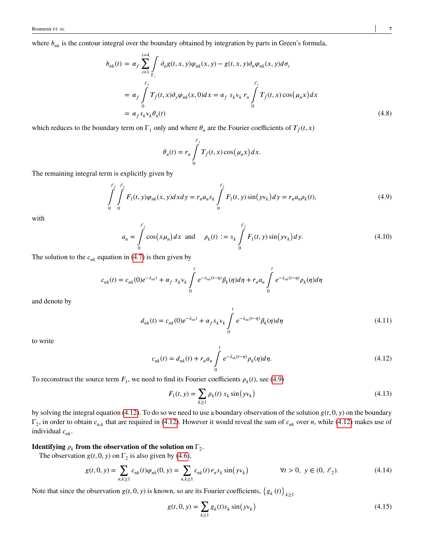where  $b_{nk}$  is the contour integral over the boundary obtained by integration by parts in Green's formula,

$$
b_{nk}(t) = \alpha_f \sum_{i=1}^{i=4} \int_{\Gamma_i} \partial_n g(t, x, y) \varphi_{nk}(x, y) - g(t, x, y) \partial_n \varphi_{nk}(x, y) d\sigma_i
$$
  
\n
$$
= \alpha_f \int_{0}^{\ell_1} T_{\tilde{f}}(t, x) \partial_y \varphi_{nk}(x, 0) dx = \alpha_f s_k v_k r_n \int_{0}^{\ell_1} T_{\tilde{f}}(t, x) \cos(\mu_n x) dx
$$
  
\n
$$
= \alpha_f s_k v_k \theta_n(t) \qquad (4.8)
$$

which reduces to the boundary term on  $\Gamma_1$  only and where  $\theta_n$  are the Fourier coefficients of  $T_{\tilde{f}}(t, x)$ 

<span id="page-6-0"></span>
$$
\theta_n(t) = r_n \int\limits_0^{\ell_1} T_{\tilde{f}}(t,x) \cos(\mu_n x) dx.
$$

The remaining integral term is explicitly given by

$$
\int_{0}^{\ell_2} \int_{0}^{\ell_1} F_1(t, y) \varphi_{nk}(x, y) dx dy = r_n a_n s_k \int_{0}^{\ell_2} F_1(t, y) \sin(yv_k) dy = r_n a_n \rho_k(t),
$$
\n(4.9)

with

$$
a_n = \int_0^{\ell_1} \cos(x\mu_n) dx \text{ and } \rho_k(t) := s_k \int_0^{\ell_2} F_1(t, y) \sin(yv_k) dy. \tag{4.10}
$$

The solution to the  $c_{nk}$  equation in [\(4.7\)](#page-5-3) is then given by

$$
c_{nk}(t) = c_{nk}(0)e^{-\lambda_{nk}t} + \alpha_f s_k v_k \int_0^t e^{-\lambda_{nk}(t-\eta)} \beta_k(\eta) d\eta + r_n a_n \int_0^t e^{-\lambda_{nk}(t-\eta)} \rho_k(\eta) d\eta
$$

and denote by

$$
d_{nk}(t) = c_{nk}(0)e^{-\lambda_{nk}t} + \alpha_f s_k v_k \int_{0}^{t} e^{-\lambda_{nk}(t-\eta)} \beta_k(\eta) d\eta
$$
 (4.11)

<span id="page-6-1"></span>to write

$$
c_{nk}(t) = d_{nk}(t) + r_n a_n \int_{0}^{t} e^{-\lambda_{nk}(t-\eta)} \rho_k(\eta) d\eta.
$$
 (4.12)

To reconstruct the source term  $F_1$ , we need to find its Fourier coefficients  $\rho_k(t)$ , see [\(4.9\)](#page-6-0)

<span id="page-6-4"></span>
$$
F_1(t, y) = \sum_{k \ge 1} \rho_k(t) \, s_k \sin(yv_k)
$$
\n(4.13)

by solving the integral equation [\(4.12\)](#page-6-1). To do so we need to use a boundary observation of the solution  $g(t, 0, y)$  on the boundary  $\Gamma_2$ , in order to obtain  $c_{n,k}$  that are required in [\(4.12\)](#page-6-1). However it would reveal the sum of  $c_{nk}$  over *n*, while (4.12) makes use of individual  $c_{nk}$ .

## **Identifying**  $\rho_k$  from the observation of the solution on  $\Gamma_2$ .

The observation  $g(t, 0, y)$  on  $\Gamma_2$  is also given by [\(4.6\)](#page-5-4),

$$
g(t,0,y) = \sum_{n,k \ge 1} c_{nk}(t)\varphi_{nk}(0,y) = \sum_{n,k \ge 1} c_{nk}(t)r_n s_k \sin(yv_k)
$$
  $\forall t > 0, y \in (0, \ell_2).$  (4.14)

Note that since the observation  $g(t, 0, y)$  is known, so are its Fourier coefficients,  $\{g_k(t)\}\$  $k \geq 1$ 

<span id="page-6-3"></span><span id="page-6-2"></span>
$$
g(t, 0, y) = \sum_{k \ge 1} g_k(t) s_k \sin(yv_k)
$$
\n(4.15)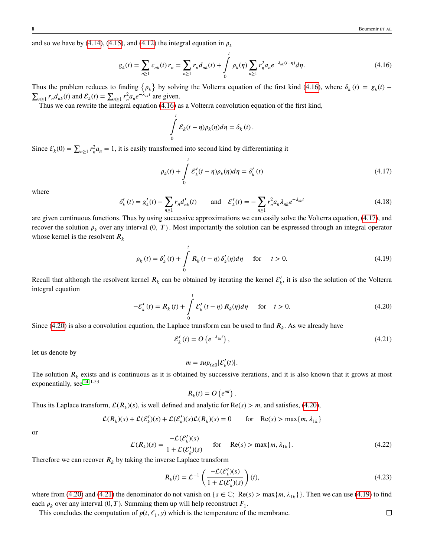and so we have by [\(4.14\)](#page-6-2), [\(4.15\)](#page-6-3), and [\(4.12\)](#page-6-1) the integral equation in  $\rho_k$ 

$$
g_k(t) = \sum_{n\geq 1} c_{nk}(t) r_n = \sum_{n\geq 1} r_n d_{nk}(t) + \int_0^t \rho_k(\eta) \sum_{n\geq 1} r_n^2 a_n e^{-\lambda_{nk}(t-\eta)} d\eta.
$$
 (4.16)

Thus the problem reduces to finding  $\{\rho_k\}$  by solving the Volterra equation of the first kind [\(4.16\)](#page-7-0), where  $\delta_k(t) = g_k(t)$  –  $\sum_{n\geq 1} r_n d_{nk}(t)$  and  $\mathcal{E}_k(t) = \sum_{n\geq 1} r_n^2 a_n e^{-\lambda_{nk}t}$  are given.

Thus we can rewrite the integral equation [\(4.16\)](#page-7-0) as a Volterra convolution equation of the first kind,

<span id="page-7-1"></span><span id="page-7-0"></span>
$$
\int_{0}^{t} \mathcal{E}_{k}(t-\eta)\rho_{k}(\eta)d\eta = \delta_{k}(t).
$$

Since  $\mathcal{E}_k(0) = \sum_{n \geq 1} r_n^2 a_n = 1$ , it is easily transformed into second kind by differentiating it

$$
\rho_k(t) + \int_0^t \mathcal{E}_k'(t - \eta)\rho_k(\eta)d\eta = \delta_k'(t)
$$
\n(4.17)

<span id="page-7-5"></span>where

$$
\delta'_{k}(t) = g'_{k}(t) - \sum_{n\geq 1} r_n d'_{nk}(t) \quad \text{and} \quad \mathcal{E}'_{k}(t) = -\sum_{n\geq 1} r_n^2 a_n \lambda_{nk} e^{-\lambda_{nk}t}
$$
\n(4.18)

are given continuous functions. Thus by using successive approximations we can easily solve the Volterra equation, [\(4.17\)](#page-7-1), and recover the solution  $\rho_k$  over any interval  $(0, T)$ . Most importantly the solution can be expressed through an integral operator whose kernel is the resolvent  $R_k$ 

<span id="page-7-4"></span>
$$
\rho_k(t) = \delta'_k(t) + \int_0^t R_k(t - \eta) \delta'_k(\eta) d\eta \quad \text{for} \quad t > 0.
$$
 (4.19)

<span id="page-7-2"></span>Recall that although the resolvent kernel  $R_k$  can be obtained by iterating the kernel  $\mathcal{E}'_k$ , it is also the solution of the Volterra integral equation

$$
-\mathcal{E}'_k(t) = R_k(t) + \int_0^t \mathcal{E}'_k(t-\eta) R_k(\eta) d\eta \quad \text{for} \quad t > 0.
$$
 (4.20)

Since [\(4.20\)](#page-7-2) is also a convolution equation, the Laplace transform can be used to find  $R_k$ . As we already have

$$
\mathcal{E}'_k(t) = O\left(e^{-\lambda_{1k}t}\right),\tag{4.21}
$$

let us denote by

<span id="page-7-3"></span>
$$
m = sup_{t\geq 0} |\mathcal{E}'_k(t)|.
$$

The solution  $R_k$  exists and is continuous as it is obtained by successive iterations, and it is also known that it grows at most exponentially, see <sup>[24,](#page-9-14) I-53</sup>

$$
R_k(t) = O\left(e^{mt}\right).
$$

Thus its Laplace transform,  $\mathcal{L}(R_k)(s)$ , is well defined and analytic for  $\text{Re}(s) > m$ , and satisfies, [\(4.20\)](#page-7-2),

$$
\mathcal{L}(R_k)(s) + \mathcal{L}(\mathcal{E}'_k)(s) + \mathcal{L}(\mathcal{E}'_k)(s)\mathcal{L}(R_k)(s) = 0 \quad \text{for} \quad \text{Re}(s) > \max\{m, \lambda_{1k}\}\
$$

or

$$
\mathcal{L}(R_k)(s) = \frac{-\mathcal{L}(\mathcal{E}'_k)(s)}{1 + \mathcal{L}(\mathcal{E}'_k)(s)} \quad \text{for} \quad \text{Re}(s) > \max\{m, \lambda_{1k}\}. \tag{4.22}
$$

Therefore we can recover  $R_k$  by taking the inverse Laplace transform

<span id="page-7-6"></span>
$$
R_k(t) = \mathcal{L}^{-1}\left(\frac{-\mathcal{L}(\mathcal{E}'_k)(s)}{1 + \mathcal{L}(\mathcal{E}'_k)(s)}\right)(t),\tag{4.23}
$$

where from [\(4.20\)](#page-7-2) and [\(4.21\)](#page-7-3) the denominator do not vanish on  $\{s \in \mathbb{C}; \ Re(s) > \max\{m, \lambda_{1k}\}\}\.$  Then we can use [\(4.19\)](#page-7-4) to find each  $\rho_k$  over any interval  $(0, T)$ . Summing them up will help reconstruct  $F_1$ .

This concludes the computation of  $p(t, \ell_1, y)$  which is the temperature of the membrane.

 $\Box$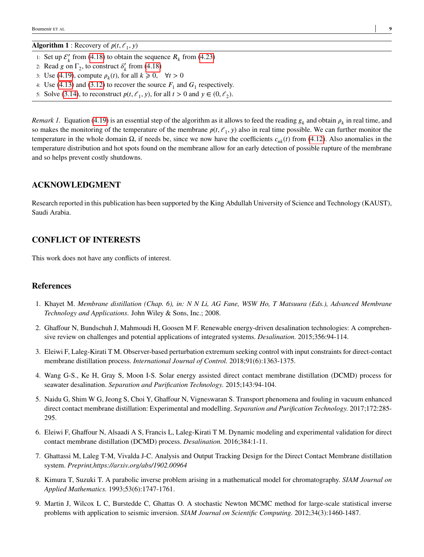**Algorithm 1** : Recovery of  $p(t, \ell_1, y)$ 

- 1: Set up  $\mathcal{E}'_k$  from [\(4.18\)](#page-7-5) to obtain the sequence  $R_k$  from [\(4.23\)](#page-7-6)
- 2: Read *g* on  $\Gamma_2$ , to construct  $\delta'_k$  from [\(4.18\)](#page-7-5)
- 3: Use [\(4.19\)](#page-7-4), compute  $\rho_k(t)$ , for all  $k \geq 0$ ,  $\forall t > 0$
- 4: Use  $(4.13)$  and  $(3.12)$  to recover the source  $F_1$  and  $G_1$  respectively.
- 5: Solve [\(3.14\)](#page-4-2), to reconstruct  $p(t, \ell_1, y)$ , for all  $t > 0$  and  $y \in (0, \ell_2)$ .

*Remark 1.* Equation [\(4.19\)](#page-7-4) is an essential step of the algorithm as it allows to feed the reading  $g_k$  and obtain  $\rho_k$  in real time, and so makes the monitoring of the temperature of the membrane  $p(t, \ell_1, y)$  also in real time possible. We can further monitor the temperature in the whole domain Ω, if needs be, since we now have the coefficients  $c_{nk}(t)$  from [\(4.12\)](#page-6-1). Also anomalies in the temperature distribution and hot spots found on the membrane allow for an early detection of possible rupture of the membrane and so helps prevent costly shutdowns.

## **ACKNOWLEDGMENT**

Research reported in this publication has been supported by the King Abdullah University of Science and Technology (KAUST), Saudi Arabia.

## **CONFLICT OF INTERESTS**

This work does not have any conflicts of interest.

### **References**

- <span id="page-8-0"></span>1. Khayet M. *Membrane distillation (Chap. 6), in: N N Li, AG Fane, WSW Ho, T Matsuura (Eds.), Advanced Membrane Technology and Applications*. John Wiley & Sons, Inc.; 2008.
- <span id="page-8-1"></span>2. Ghaffour N, Bundschuh J, Mahmoudi H, Goosen M F. Renewable energy-driven desalination technologies: A comprehensive review on challenges and potential applications of integrated systems. *Desalination.* 2015;356:94-114.
- <span id="page-8-2"></span>3. Eleiwi F, Laleg-Kirati T M. Observer-based perturbation extremum seeking control with input constraints for direct-contact membrane distillation process. *International Journal of Control.* 2018;91(6):1363-1375.
- <span id="page-8-3"></span>4. Wang G-S., Ke H, Gray S, Moon I-S. Solar energy assisted direct contact membrane distillation (DCMD) process for seawater desalination. *Separation and Purification Technology.* 2015;143:94-104.
- <span id="page-8-4"></span>5. Naidu G, Shim W G, Jeong S, Choi Y, Ghaffour N, Vigneswaran S. Transport phenomena and fouling in vacuum enhanced direct contact membrane distillation: Experimental and modelling. *Separation and Purification Technology.* 2017;172:285- 295.
- <span id="page-8-5"></span>6. Eleiwi F, Ghaffour N, Alsaadi A S, Francis L, Laleg-Kirati T M. Dynamic modeling and experimental validation for direct contact membrane distillation (DCMD) process. *Desalination.* 2016;384:1-11.
- <span id="page-8-6"></span>7. Ghattassi M, Laleg T-M, Vivalda J-C. Analysis and Output Tracking Design for the Direct Contact Membrane distillation system. *Preprint,https://arxiv.org/abs/1902.00964*
- <span id="page-8-7"></span>8. Kimura T, Suzuki T. A parabolic inverse problem arising in a mathematical model for chromatography. *SIAM Journal on Applied Mathematics.* 1993;53(6):1747-1761.
- <span id="page-8-8"></span>9. Martin J, Wilcox L C, Burstedde C, Ghattas O. A stochastic Newton MCMC method for large-scale statistical inverse problems with application to seismic inversion. *SIAM Journal on Scientific Computing.* 2012;34(3):1460-1487.